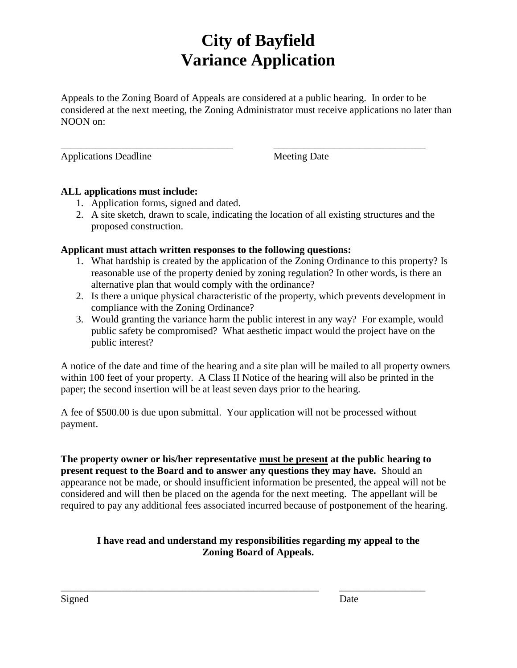# **City of Bayfield Variance Application**

Appeals to the Zoning Board of Appeals are considered at a public hearing. In order to be considered at the next meeting, the Zoning Administrator must receive applications no later than NOON on:

\_\_\_\_\_\_\_\_\_\_\_\_\_\_\_\_\_\_\_\_\_\_\_\_\_\_\_\_\_\_\_\_\_\_ \_\_\_\_\_\_\_\_\_\_\_\_\_\_\_\_\_\_\_\_\_\_\_\_\_\_\_\_\_\_

Applications Deadline Meeting Date

### **ALL applications must include:**

- 1. Application forms, signed and dated.
- 2. A site sketch, drawn to scale, indicating the location of all existing structures and the proposed construction.

### **Applicant must attach written responses to the following questions:**

- 1. What hardship is created by the application of the Zoning Ordinance to this property? Is reasonable use of the property denied by zoning regulation? In other words, is there an alternative plan that would comply with the ordinance?
- 2. Is there a unique physical characteristic of the property, which prevents development in compliance with the Zoning Ordinance?
- 3. Would granting the variance harm the public interest in any way? For example, would public safety be compromised? What aesthetic impact would the project have on the public interest?

A notice of the date and time of the hearing and a site plan will be mailed to all property owners within 100 feet of your property. A Class II Notice of the hearing will also be printed in the paper; the second insertion will be at least seven days prior to the hearing.

A fee of \$500.00 is due upon submittal. Your application will not be processed without payment.

**The property owner or his/her representative must be present at the public hearing to present request to the Board and to answer any questions they may have.** Should an appearance not be made, or should insufficient information be presented, the appeal will not be considered and will then be placed on the agenda for the next meeting. The appellant will be required to pay any additional fees associated incurred because of postponement of the hearing.

## **I have read and understand my responsibilities regarding my appeal to the Zoning Board of Appeals.**

\_\_\_\_\_\_\_\_\_\_\_\_\_\_\_\_\_\_\_\_\_\_\_\_\_\_\_\_\_\_\_\_\_\_\_\_\_\_\_\_\_\_\_\_\_\_\_\_\_\_\_ \_\_\_\_\_\_\_\_\_\_\_\_\_\_\_\_\_